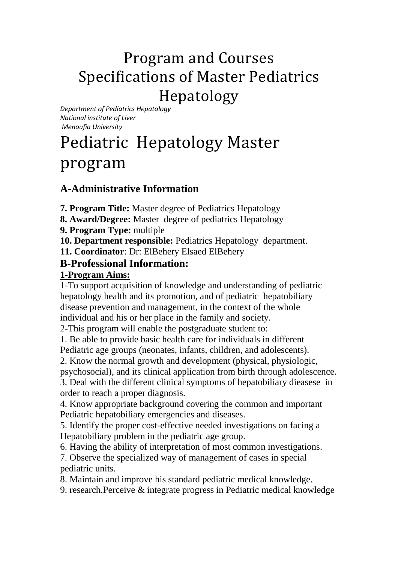## Program and Courses Specifications of Master Pediatrics Hepatology

*Department of Pediatrics Hepatology National institute of Liver Menoufia University*

# Pediatric Hepatology Master program

## **A-Administrative Information**

**7. Program Title:** Master degree of Pediatrics Hepatology

**8. Award/Degree:** Master degree of pediatrics Hepatology

**9. Program Type:** multiple

**10. Department responsible:** Pediatrics Hepatology department.

**11. Coordinator**: Dr: ElBehery Elsaed ElBehery

## **B-Professional Information:**

#### **1-Program Aims:**

1-To support acquisition of knowledge and understanding of pediatric hepatology health and its promotion, and of pediatric hepatobiliary disease prevention and management, in the context of the whole individual and his or her place in the family and society.

2-This program will enable the postgraduate student to:

1. Be able to provide basic health care for individuals in different Pediatric age groups (neonates, infants, children, and adolescents).

2. Know the normal growth and development (physical, physiologic,

psychosocial), and its clinical application from birth through adolescence.

3. Deal with the different clinical symptoms of hepatobiliary dieasese in order to reach a proper diagnosis.

4. Know appropriate background covering the common and important Pediatric hepatobiliary emergencies and diseases.

5. Identify the proper cost-effective needed investigations on facing a Hepatobiliary problem in the pediatric age group.

6. Having the ability of interpretation of most common investigations.

7. Observe the specialized way of management of cases in special pediatric units.

8. Maintain and improve his standard pediatric medical knowledge.

9. research.Perceive & integrate progress in Pediatric medical knowledge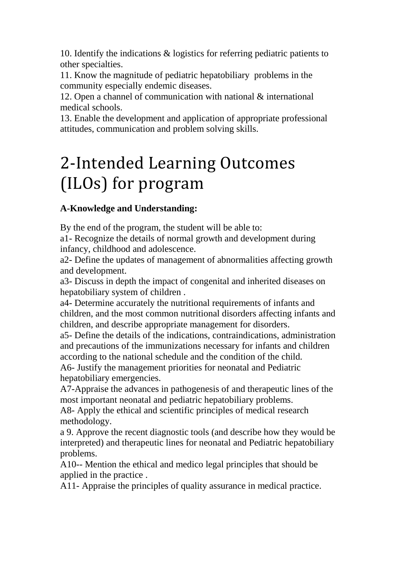10. Identify the indications & logistics for referring pediatric patients to other specialties.

11. Know the magnitude of pediatric hepatobiliary problems in the community especially endemic diseases.

12. Open a channel of communication with national & international medical schools.

13. Enable the development and application of appropriate professional attitudes, communication and problem solving skills.

# 2-Intended Learning Outcomes (ILOs) for program

## **A-Knowledge and Understanding:**

By the end of the program, the student will be able to:

a1- Recognize the details of normal growth and development during infancy, childhood and adolescence.

a2- Define the updates of management of abnormalities affecting growth and development.

a3- Discuss in depth the impact of congenital and inherited diseases on hepatobiliary system of children .

a4- Determine accurately the nutritional requirements of infants and children, and the most common nutritional disorders affecting infants and children, and describe appropriate management for disorders.

a5- Define the details of the indications, contraindications, administration and precautions of the immunizations necessary for infants and children according to the national schedule and the condition of the child.

A6- Justify the management priorities for neonatal and Pediatric hepatobiliary emergencies.

A7-Appraise the advances in pathogenesis of and therapeutic lines of the most important neonatal and pediatric hepatobiliary problems.

A8- Apply the ethical and scientific principles of medical research methodology.

a 9. Approve the recent diagnostic tools (and describe how they would be interpreted) and therapeutic lines for neonatal and Pediatric hepatobiliary problems.

A10-- Mention the ethical and medico legal principles that should be applied in the practice .

A11- Appraise the principles of quality assurance in medical practice.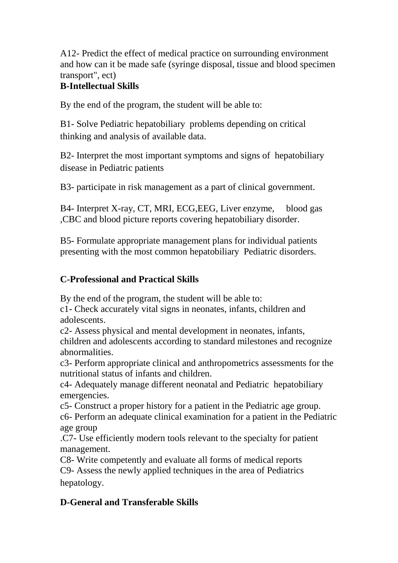A12- Predict the effect of medical practice on surrounding environment and how can it be made safe (syringe disposal, tissue and blood specimen transport", ect)

## **B-Intellectual Skills**

By the end of the program, the student will be able to:

B1- Solve Pediatric hepatobiliary problems depending on critical thinking and analysis of available data.

B2- Interpret the most important symptoms and signs of hepatobiliary disease in Pediatric patients

B3- participate in risk management as a part of clinical government.

B4- Interpret X-ray, CT, MRI, ECG,EEG, Liver enzyme, blood gas ,CBC and blood picture reports covering hepatobiliary disorder.

B5- Formulate appropriate management plans for individual patients presenting with the most common hepatobiliary Pediatric disorders.

#### **C-Professional and Practical Skills**

By the end of the program, the student will be able to:

c1- Check accurately vital signs in neonates, infants, children and adolescents.

c2- Assess physical and mental development in neonates, infants, children and adolescents according to standard milestones and recognize abnormalities.

c3- Perform appropriate clinical and anthropometrics assessments for the nutritional status of infants and children.

c4- Adequately manage different neonatal and Pediatric hepatobiliary emergencies.

c5- Construct a proper history for a patient in the Pediatric age group.

c6- Perform an adequate clinical examination for a patient in the Pediatric age group

.C7- Use efficiently modern tools relevant to the specialty for patient management.

C8- Write competently and evaluate all forms of medical reports C9- Assess the newly applied techniques in the area of Pediatrics hepatology.

### **D-General and Transferable Skills**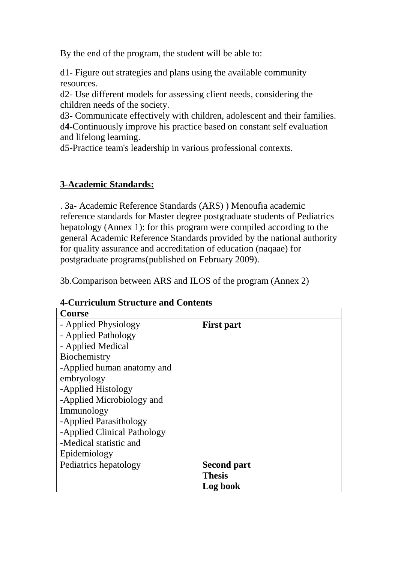By the end of the program, the student will be able to:

d1- Figure out strategies and plans using the available community resources.

d2- Use different models for assessing client needs, considering the children needs of the society.

d3- Communicate effectively with children, adolescent and their families. d**4-**Continuously improve his practice based on constant self evaluation and lifelong learning.

d5-Practice team's leadership in various professional contexts.

#### **3-Academic Standards:**

. 3a- Academic Reference Standards (ARS) ) Menoufia academic reference standards for Master degree postgraduate students of Pediatrics hepatology (Annex 1): for this program were compiled according to the general Academic Reference Standards provided by the national authority for quality assurance and accreditation of education (naqaae) for postgraduate programs(published on February 2009).

3b.Comparison between ARS and ILOS of the program (Annex 2)

#### **4-Curriculum Structure and Contents**

| <b>Course</b>               |                    |
|-----------------------------|--------------------|
| - Applied Physiology        | <b>First part</b>  |
| - Applied Pathology         |                    |
| - Applied Medical           |                    |
| Biochemistry                |                    |
| -Applied human anatomy and  |                    |
| embryology                  |                    |
| -Applied Histology          |                    |
| -Applied Microbiology and   |                    |
| Immunology                  |                    |
| -Applied Parasithology      |                    |
| -Applied Clinical Pathology |                    |
| -Medical statistic and      |                    |
| Epidemiology                |                    |
| Pediatrics hepatology       | <b>Second part</b> |
|                             | <b>Thesis</b>      |
|                             | Log book           |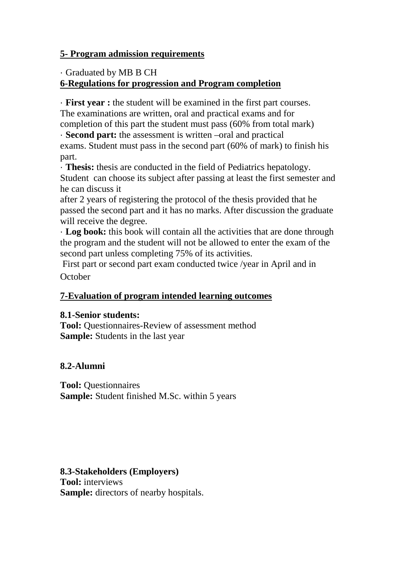#### **5- Program admission requirements**

· Graduated by MB B CH

### **6-Regulations for progression and Program completion**

· **First year :** the student will be examined in the first part courses. The examinations are written, oral and practical exams and for completion of this part the student must pass (60% from total mark)

· **Second part:** the assessment is written –oral and practical exams. Student must pass in the second part (60% of mark) to finish his part.

· **Thesis:** thesis are conducted in the field of Pediatrics hepatology. Student can choose its subject after passing at least the first semester and he can discuss it

after 2 years of registering the protocol of the thesis provided that he passed the second part and it has no marks. After discussion the graduate will receive the degree.

· **Log book:** this book will contain all the activities that are done through the program and the student will not be allowed to enter the exam of the second part unless completing 75% of its activities.

First part or second part exam conducted twice /year in April and in **October** 

### **7-Evaluation of program intended learning outcomes**

#### **8.1-Senior students:**

**Tool:** Ouestionnaires-Review of assessment method **Sample:** Students in the last year

### **8.2-Alumni**

**Tool:** Questionnaires **Sample:** Student finished M.Sc. within 5 years

**8.3-Stakeholders (Employers) Tool:** interviews **Sample:** directors of nearby hospitals.